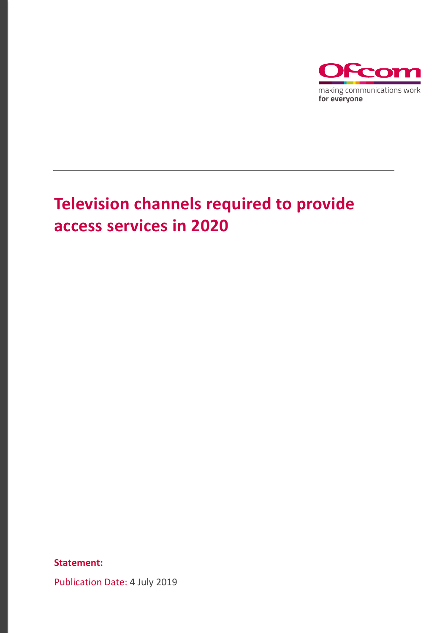

## **Television channels required to provide access services in 2020**

**Statement:**

Publication Date: 4 July 2019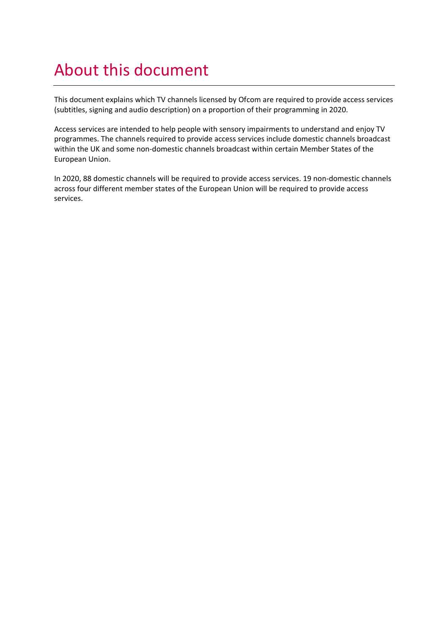### About this document

This document explains which TV channels licensed by Ofcom are required to provide access services (subtitles, signing and audio description) on a proportion of their programming in 2020.

Access services are intended to help people with sensory impairments to understand and enjoy TV programmes. The channels required to provide access services include domestic channels broadcast within the UK and some non-domestic channels broadcast within certain Member States of the European Union.

In 2020, 88 domestic channels will be required to provide access services. 19 non-domestic channels across four different member states of the European Union will be required to provide access services.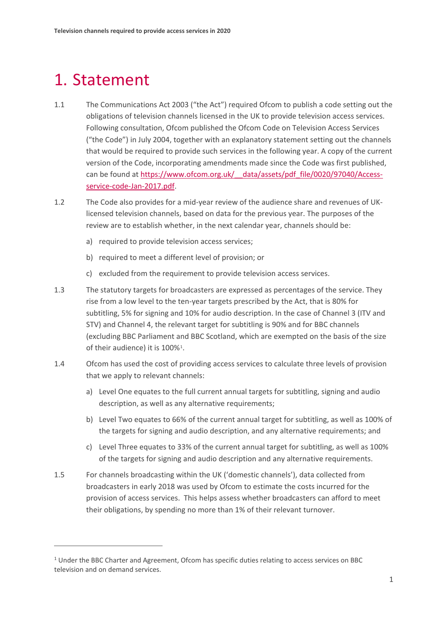### 1. Statement

**.** 

- 1.1 The Communications Act 2003 ("the Act") required Ofcom to publish a code setting out the obligations of television channels licensed in the UK to provide television access services. Following consultation, Ofcom published the Ofcom Code on Television Access Services ("the Code") in July 2004, together with an explanatory statement setting out the channels that would be required to provide such services in the following year. A copy of the current version of the Code, incorporating amendments made since the Code was first published, can be found at https://www.ofcom.org.uk/ data/assets/pdf file/0020/97040/Access[service-code-Jan-2017.pdf.](https://www.ofcom.org.uk/__data/assets/pdf_file/0020/97040/Access-service-code-Jan-2017.pdf)
- 1.2 The Code also provides for a mid-year review of the audience share and revenues of UKlicensed television channels, based on data for the previous year. The purposes of the review are to establish whether, in the next calendar year, channels should be:
	- a) required to provide television access services;
	- b) required to meet a different level of provision; or
	- c) excluded from the requirement to provide television access services.
- 1.3 The statutory targets for broadcasters are expressed as percentages of the service. They rise from a low level to the ten-year targets prescribed by the Act, that is 80% for subtitling, 5% for signing and 10% for audio description. In the case of Channel 3 (ITV and STV) and Channel 4, the relevant target for subtitling is 90% and for BBC channels (excluding BBC Parliament and BBC Scotland, which are exempted on the basis of the size of their audience) it is 100%<sup>1</sup>.
- 1.4 Ofcom has used the cost of providing access services to calculate three levels of provision that we apply to relevant channels:
	- a) Level One equates to the full current annual targets for subtitling, signing and audio description, as well as any alternative requirements;
	- b) Level Two equates to 66% of the current annual target for subtitling, as well as 100% of the targets for signing and audio description, and any alternative requirements; and
	- c) Level Three equates to 33% of the current annual target for subtitling, as well as 100% of the targets for signing and audio description and any alternative requirements.
- 1.5 For channels broadcasting within the UK ('domestic channels'), data collected from broadcasters in early 2018 was used by Ofcom to estimate the costs incurred for the provision of access services. This helps assess whether broadcasters can afford to meet their obligations, by spending no more than 1% of their relevant turnover.

<span id="page-2-0"></span><sup>&</sup>lt;sup>1</sup> Under the BBC Charter and Agreement, Ofcom has specific duties relating to access services on BBC television and on demand services.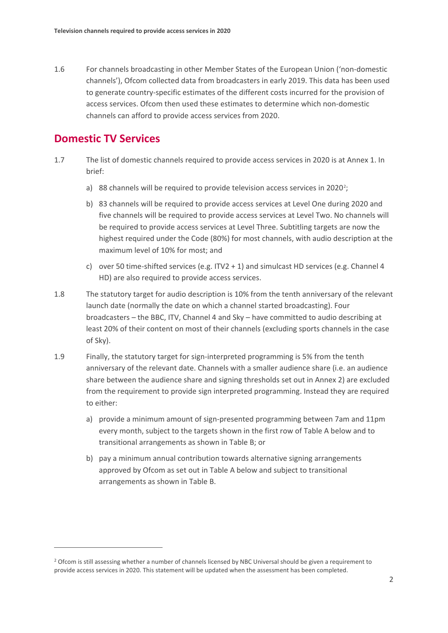1.6 For channels broadcasting in other Member States of the European Union ('non-domestic channels'), Ofcom collected data from broadcasters in early 2019. This data has been used to generate country-specific estimates of the different costs incurred for the provision of access services. Ofcom then used these estimates to determine which non-domestic channels can afford to provide access services from 2020.

### **Domestic TV Services**

 $\overline{a}$ 

- 1.7 The list of domestic channels required to provide access services in 2020 is at Annex 1. In brief:
	- a) 88 channels will be required to provide television access services in 2020<sup>2</sup>;
	- b) 83 channels will be required to provide access services at Level One during 2020 and five channels will be required to provide access services at Level Two. No channels will be required to provide access services at Level Three. Subtitling targets are now the highest required under the Code (80%) for most channels, with audio description at the maximum level of 10% for most; and
	- c) over 50 time-shifted services (e.g. ITV2 + 1) and simulcast HD services (e.g. Channel 4 HD) are also required to provide access services.
- 1.8 The statutory target for audio description is 10% from the tenth anniversary of the relevant launch date (normally the date on which a channel started broadcasting). Four broadcasters – the BBC, ITV, Channel 4 and Sky – have committed to audio describing at least 20% of their content on most of their channels (excluding sports channels in the case of Sky).
- 1.9 Finally, the statutory target for sign-interpreted programming is 5% from the tenth anniversary of the relevant date. Channels with a smaller audience share (i.e. an audience share between the audience share and signing thresholds set out in Annex 2) are excluded from the requirement to provide sign interpreted programming. Instead they are required to either:
	- a) provide a minimum amount of sign-presented programming between 7am and 11pm every month, subject to the targets shown in the first row of Table A below and to transitional arrangements as shown in Table B; or
	- b) pay a minimum annual contribution towards alternative signing arrangements approved by Ofcom as set out in Table A below and subject to transitional arrangements as shown in Table B.

<span id="page-3-0"></span><sup>&</sup>lt;sup>2</sup> Ofcom is still assessing whether a number of channels licensed by NBC Universal should be given a requirement to provide access services in 2020. This statement will be updated when the assessment has been completed.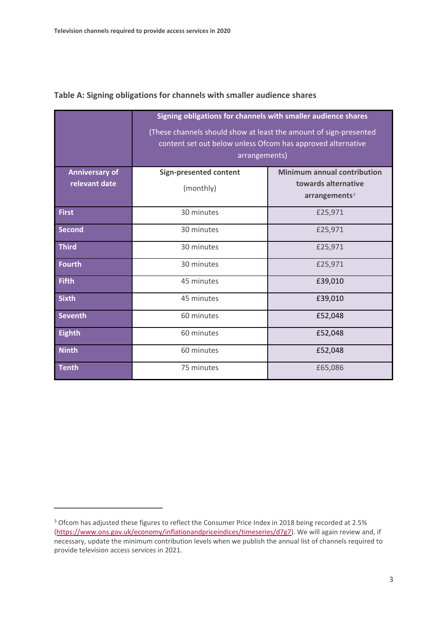|                                        | Signing obligations for channels with smaller audience shares<br>(These channels should show at least the amount of sign-presented<br>content set out below unless Ofcom has approved alternative<br>arrangements) |                                                                                        |  |
|----------------------------------------|--------------------------------------------------------------------------------------------------------------------------------------------------------------------------------------------------------------------|----------------------------------------------------------------------------------------|--|
| <b>Anniversary of</b><br>relevant date | <b>Sign-presented content</b><br>(monthly)                                                                                                                                                                         | <b>Minimum annual contribution</b><br>towards alternative<br>arrangements <sup>3</sup> |  |
| <b>First</b>                           | 30 minutes                                                                                                                                                                                                         | £25,971                                                                                |  |
| <b>Second</b>                          | 30 minutes                                                                                                                                                                                                         | £25,971                                                                                |  |
| <b>Third</b>                           | 30 minutes                                                                                                                                                                                                         | £25,971                                                                                |  |
| <b>Fourth</b>                          | 30 minutes                                                                                                                                                                                                         | £25,971                                                                                |  |
| <b>Fifth</b>                           | 45 minutes                                                                                                                                                                                                         | £39,010                                                                                |  |
| <b>Sixth</b>                           | 45 minutes                                                                                                                                                                                                         | £39,010                                                                                |  |
| <b>Seventh</b>                         | 60 minutes                                                                                                                                                                                                         | £52,048                                                                                |  |
| <b>Eighth</b>                          | 60 minutes                                                                                                                                                                                                         | £52,048                                                                                |  |
| <b>Ninth</b>                           | 60 minutes                                                                                                                                                                                                         | £52,048                                                                                |  |
| <b>Tenth</b>                           | 75 minutes                                                                                                                                                                                                         | £65,086                                                                                |  |

#### **Table A: Signing obligations for channels with smaller audience shares**

 $\overline{a}$ 

<span id="page-4-0"></span><sup>&</sup>lt;sup>3</sup> Ofcom has adjusted these figures to reflect the Consumer Price Index in 2018 being recorded at 2.5% [\(https://www.ons.gov.uk/economy/inflationandpriceindices/timeseries/d7g7\)](https://www.ons.gov.uk/economy/inflationandpriceindices/timeseries/d7g7). We will again review and, if necessary, update the minimum contribution levels when we publish the annual list of channels required to provide television access services in 2021.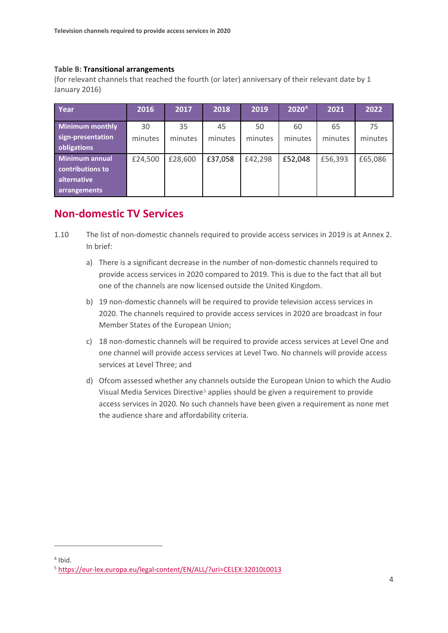#### **Table B: Transitional arrangements**

(for relevant channels that reached the fourth (or later) anniversary of their relevant date by 1 January 2016)

| Year                   | 2016    | 2017    | 2018    | 2019    | 2020 <sup>4</sup> | 2021    | 2022    |
|------------------------|---------|---------|---------|---------|-------------------|---------|---------|
|                        |         |         |         |         |                   |         |         |
| <b>Minimum monthly</b> | 30      | 35      | 45      | 50      | 60                | 65      | 75      |
| sign-presentation      | minutes | minutes | minutes | minutes | minutes           | minutes | minutes |
| obligations            |         |         |         |         |                   |         |         |
| <b>Minimum annual</b>  | £24,500 | £28,600 | £37,058 | £42,298 | £52,048           | £56,393 | £65,086 |
| contributions to       |         |         |         |         |                   |         |         |
| alternative            |         |         |         |         |                   |         |         |
| arrangements           |         |         |         |         |                   |         |         |

### **Non-domestic TV Services**

- 1.10 The list of non-domestic channels required to provide access services in 2019 is at Annex 2. In brief:
	- a) There is a significant decrease in the number of non-domestic channels required to provide access services in 2020 compared to 2019. This is due to the fact that all but one of the channels are now licensed outside the United Kingdom.
	- b) 19 non-domestic channels will be required to provide television access services in 2020. The channels required to provide access services in 2020 are broadcast in four Member States of the European Union;
	- c) 18 non-domestic channels will be required to provide access services at Level One and one channel will provide access services at Level Two. No channels will provide access services at Level Three; and
	- d) Ofcom assessed whether any channels outside the European Union to which the Audio Visual Media Services Directive[5](#page-5-1) applies should be given a requirement to provide access services in 2020. No such channels have been given a requirement as none met the audience share and affordability criteria.

**.** 

<span id="page-5-0"></span> $4$  Ibid.

<span id="page-5-1"></span><sup>5</sup> <https://eur-lex.europa.eu/legal-content/EN/ALL/?uri=CELEX:32010L0013>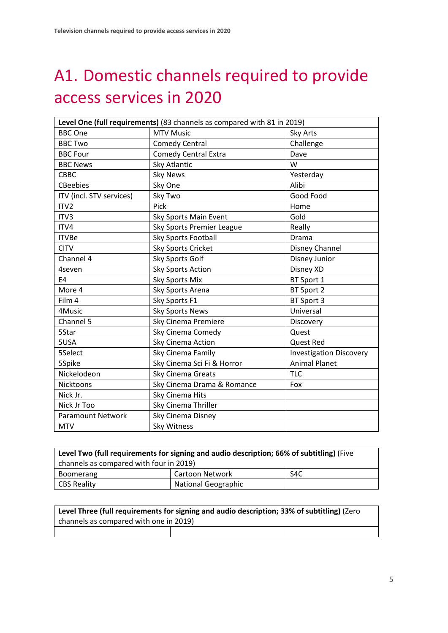## A1. Domestic channels required to provide access services in 2020

| Level One (full requirements) (83 channels as compared with 81 in 2019) |                             |                                |  |
|-------------------------------------------------------------------------|-----------------------------|--------------------------------|--|
| <b>BBC One</b>                                                          | <b>MTV Music</b>            | Sky Arts                       |  |
| <b>BBC Two</b>                                                          | <b>Comedy Central</b>       | Challenge                      |  |
| <b>BBC Four</b>                                                         | <b>Comedy Central Extra</b> | Dave                           |  |
| <b>BBC News</b>                                                         | Sky Atlantic                | W                              |  |
| <b>CBBC</b>                                                             | <b>Sky News</b>             | Yesterday                      |  |
| <b>CBeebies</b>                                                         | Sky One                     | Alibi                          |  |
| ITV (incl. STV services)                                                | Sky Two                     | Good Food                      |  |
| ITV2                                                                    | Pick                        | Home                           |  |
| ITV3                                                                    | Sky Sports Main Event       | Gold                           |  |
| ITV4                                                                    | Sky Sports Premier League   | Really                         |  |
| <b>ITVBe</b>                                                            | Sky Sports Football         | Drama                          |  |
| <b>CITV</b>                                                             | <b>Sky Sports Cricket</b>   | Disney Channel                 |  |
| Channel 4                                                               | Sky Sports Golf             | Disney Junior                  |  |
| 4seven                                                                  | <b>Sky Sports Action</b>    | Disney XD                      |  |
| E4                                                                      | <b>Sky Sports Mix</b>       | BT Sport 1                     |  |
| More 4                                                                  | Sky Sports Arena            | BT Sport 2                     |  |
| Film 4                                                                  | Sky Sports F1               | BT Sport 3                     |  |
| 4Music                                                                  | <b>Sky Sports News</b>      | Universal                      |  |
| Channel 5                                                               | Sky Cinema Premiere         | Discovery                      |  |
| 5Star                                                                   | Sky Cinema Comedy           | Quest                          |  |
| 5USA                                                                    | Sky Cinema Action           | <b>Quest Red</b>               |  |
| 5Select                                                                 | Sky Cinema Family           | <b>Investigation Discovery</b> |  |
| 5Spike                                                                  | Sky Cinema Sci Fi & Horror  | <b>Animal Planet</b>           |  |
| Nickelodeon                                                             | Sky Cinema Greats           | <b>TLC</b>                     |  |
| Nicktoons                                                               | Sky Cinema Drama & Romance  | Fox                            |  |
| Nick Jr.                                                                | Sky Cinema Hits             |                                |  |
| Nick Jr Too                                                             | Sky Cinema Thriller         |                                |  |
| <b>Paramount Network</b>                                                | Sky Cinema Disney           |                                |  |
| <b>MTV</b>                                                              | <b>Sky Witness</b>          |                                |  |

| Level Two (full requirements for signing and audio description; 66% of subtitling) (Five |                     |                  |  |
|------------------------------------------------------------------------------------------|---------------------|------------------|--|
| channels as compared with four in 2019)                                                  |                     |                  |  |
| <b>Boomerang</b>                                                                         | Cartoon Network     | S <sub>4</sub> C |  |
| <b>CBS Reality</b>                                                                       | National Geographic |                  |  |

| Level Three (full requirements for signing and audio description; 33% of subtitling) (Zero |  |  |  |
|--------------------------------------------------------------------------------------------|--|--|--|
| channels as compared with one in 2019)                                                     |  |  |  |
|                                                                                            |  |  |  |